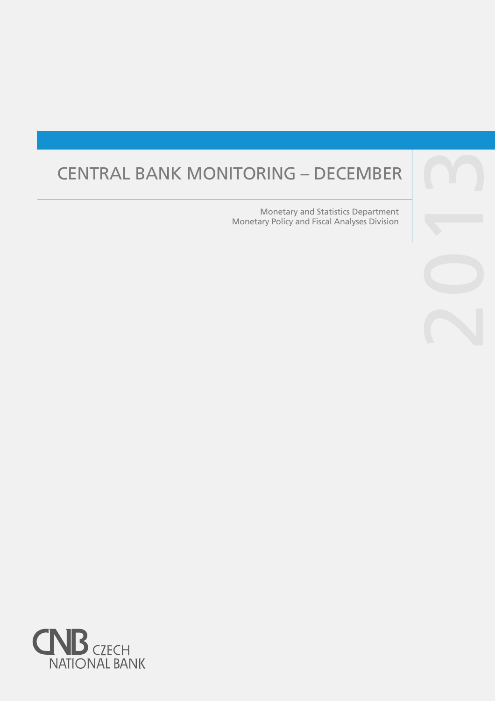# CENTRAL BANK MONITORING – DECEMBER

Monetary and Statistics Department Monetary Policy and Fiscal Analyses Division

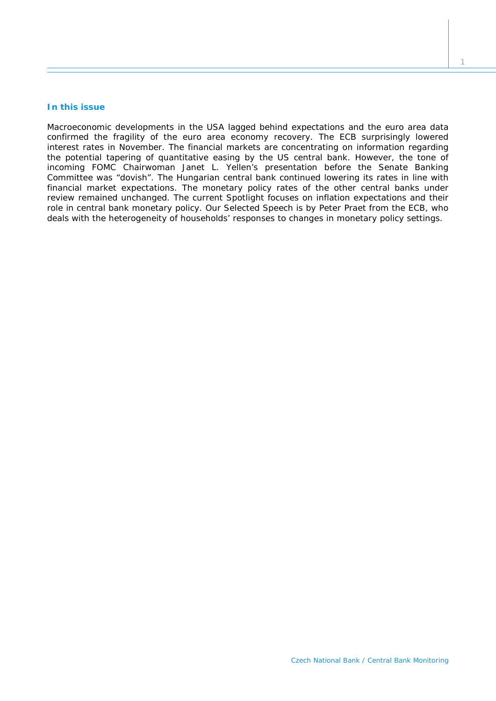# **In this issue**

*Macroeconomic developments in the USA lagged behind expectations and the euro area data confirmed the fragility of the euro area economy recovery. The ECB surprisingly lowered interest rates in November. The financial markets are concentrating on information regarding the potential tapering of quantitative easing by the US central bank. However, the tone of incoming FOMC Chairwoman Janet L. Yellen's presentation before the Senate Banking Committee was "dovish". The Hungarian central bank continued lowering its rates in line with financial market expectations. The monetary policy rates of the other central banks under review remained unchanged. The current* Spotlight *focuses on inflation expectations and their role in central bank monetary policy. Our* Selected Speech *is by Peter Praet from the ECB, who deals with the heterogeneity of households' responses to changes in monetary policy settings.*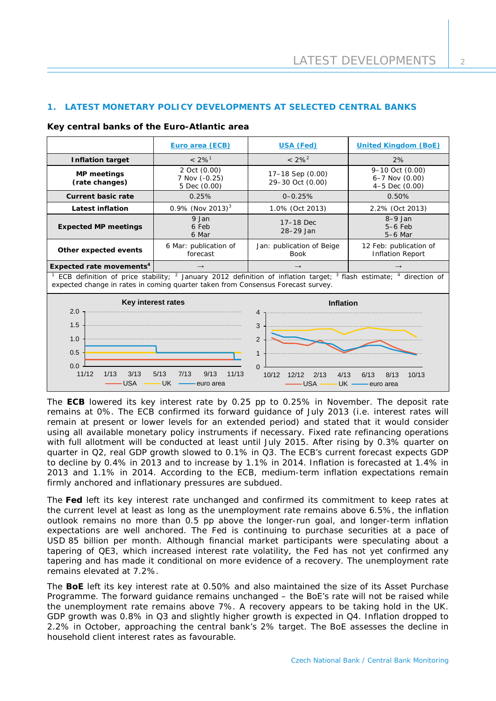# **1. LATEST MONETARY POLICY DEVELOPMENTS AT SELECTED CENTRAL BANKS**

| Key central banks of the Euro-Atlantic area |  |                 |                |  |  |
|---------------------------------------------|--|-----------------|----------------|--|--|
|                                             |  | Euro area (ECB) | <b>USA (Fe</b> |  |  |

|                                                                                                                                                                                                                 | Euro area (ECB)                               | <b>USA (Fed)</b>                                                                                            | <b>United Kingdom (BoE)</b>                               |  |
|-----------------------------------------------------------------------------------------------------------------------------------------------------------------------------------------------------------------|-----------------------------------------------|-------------------------------------------------------------------------------------------------------------|-----------------------------------------------------------|--|
| $< 2\%$ <sup>1</sup><br><b>Inflation target</b>                                                                                                                                                                 |                                               | $< 2\%^{2}$                                                                                                 | 2%                                                        |  |
| <b>MP</b> meetings<br>(rate changes)                                                                                                                                                                            | 2 Oct (0.00)<br>7 Nov (-0.25)<br>5 Dec (0.00) | 17-18 Sep (0.00)<br>29-30 Oct (0.00)                                                                        | 9-10 Oct (0.00)<br>$6 - 7$ Nov $(0.00)$<br>4-5 Dec (0.00) |  |
| <b>Current basic rate</b>                                                                                                                                                                                       | 0.25%                                         | $0 - 0.25%$                                                                                                 | 0.50%                                                     |  |
| <b>Latest inflation</b>                                                                                                                                                                                         | 0.9% (Nov 2013) <sup>3</sup>                  | 1.0% (Oct 2013)                                                                                             | 2.2% (Oct 2013)                                           |  |
| <b>Expected MP meetings</b>                                                                                                                                                                                     | 9 Jan<br>6 Feb<br>6 Mar                       | 17-18 Dec<br>28-29 Jan                                                                                      | $8-9$ Jan<br>$5-6$ Feb<br>5-6 Mar                         |  |
| Other expected events                                                                                                                                                                                           | 6 Mar: publication of<br>forecast             | Jan: publication of Beige<br><b>Book</b>                                                                    | 12 Feb: publication of<br><b>Inflation Report</b>         |  |
| Expected rate movements <sup>4</sup>                                                                                                                                                                            | $\rightarrow$                                 | $\rightarrow$                                                                                               |                                                           |  |
| ECB definition of price stability; $^2$ January 2012 definition of inflation target; $^3$ flash estimate; $^4$ direction of<br>expected change in rates in coming quarter taken from Consensus Forecast survey. |                                               |                                                                                                             |                                                           |  |
| Key interest rates<br>2.0<br>1.5<br>1.0<br>0.5<br>0.0<br>11/12<br>1/13<br>3/13<br><b>USA</b>                                                                                                                    | 5/13<br>7/13<br>9/13<br>11/13<br>UK           | <b>Inflation</b><br>4<br>3<br>2<br>$\mathbf{1}$<br>$\Omega$<br>10/12<br>12/12<br>2/13<br>4/13<br><b>USA</b> | 6/13<br>8/13<br>10/13                                     |  |

The **ECB** lowered its key interest rate by 0.25 pp to 0.25% in November. The deposit rate remains at 0%. The ECB confirmed its forward guidance of July 2013 (i.e. interest rates will remain at present or lower levels for an extended period) and stated that it would consider using all available monetary policy instruments if necessary. Fixed rate refinancing operations with full allotment will be conducted at least until July 2015. After rising by 0.3% quarter on quarter in Q2, real GDP growth slowed to 0.1% in Q3. The ECB's current forecast expects GDP to decline by 0.4% in 2013 and to increase by 1.1% in 2014. Inflation is forecasted at 1.4% in 2013 and 1.1% in 2014. According to the ECB, medium-term inflation expectations remain firmly anchored and inflationary pressures are subdued.

The **Fed** left its key interest rate unchanged and confirmed its commitment to keep rates at the current level at least as long as the unemployment rate remains above 6.5%, the inflation outlook remains no more than 0.5 pp above the longer-run goal, and longer-term inflation expectations are well anchored. The Fed is continuing to purchase securities at a pace of USD 85 billion per month. Although financial market participants were speculating about a tapering of QE3, which increased interest rate volatility, the Fed has not yet confirmed any tapering and has made it conditional on more evidence of a recovery. The unemployment rate remains elevated at 7.2%.

The **BoE** left its key interest rate at 0.50% and also maintained the size of its Asset Purchase Programme. The forward guidance remains unchanged – the BoE's rate will not be raised while the unemployment rate remains above 7%. A recovery appears to be taking hold in the UK. GDP growth was 0.8% in Q3 and slightly higher growth is expected in Q4. Inflation dropped to 2.2% in October, approaching the central bank's 2% target. The BoE assesses the decline in household client interest rates as favourable.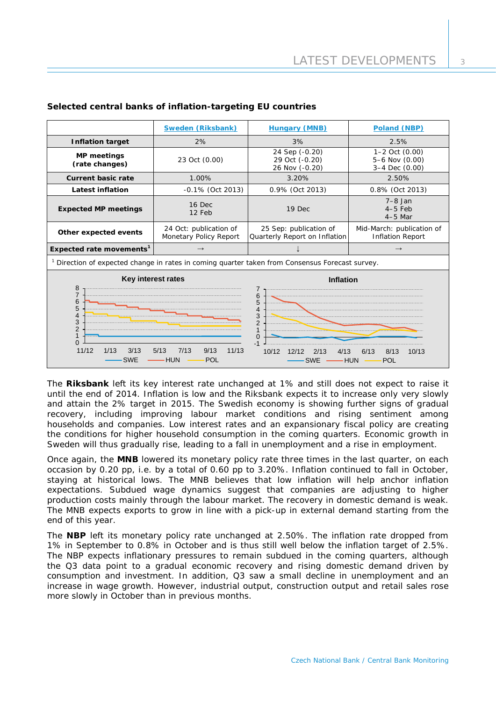| <b>Sweden (Riksbank)</b>                                                                                                                                                         |                                                  | <b>Hungary (MNB)</b>                                                  | <b>Poland (NBP)</b>                                      |  |
|----------------------------------------------------------------------------------------------------------------------------------------------------------------------------------|--------------------------------------------------|-----------------------------------------------------------------------|----------------------------------------------------------|--|
| <b>Inflation target</b>                                                                                                                                                          | 2%                                               | 3%                                                                    | 2.5%                                                     |  |
| <b>MP</b> meetings<br>(rate changes)                                                                                                                                             | 23 Oct (0.00)                                    | 24 Sep (-0.20)<br>29 Oct (-0.20)<br>26 Nov (-0.20)                    | $1 - 2$ Oct $(0.00)$<br>5-6 Nov (0.00)<br>3-4 Dec (0.00) |  |
| <b>Current basic rate</b>                                                                                                                                                        | 1.00%                                            | 3.20%                                                                 | 2.50%                                                    |  |
| <b>Latest inflation</b>                                                                                                                                                          | -0.1% (Oct 2013)                                 | 0.9% (Oct 2013)                                                       | 0.8% (Oct 2013)                                          |  |
| <b>Expected MP meetings</b>                                                                                                                                                      | $16$ Dec<br>12 Feb                               | 19 Dec                                                                | $7-8$ Jan<br>$4-5$ Feb<br>$4-5$ Mar                      |  |
| Other expected events                                                                                                                                                            | 24 Oct: publication of<br>Monetary Policy Report | 25 Sep: publication of<br>Quarterly Report on Inflation               | Mid-March: publication of<br><b>Inflation Report</b>     |  |
| Expected rate movements <sup>1</sup>                                                                                                                                             |                                                  |                                                                       | $\rightarrow$                                            |  |
| <sup>1</sup> Direction of expected change in rates in coming quarter taken from Consensus Forecast survey.                                                                       |                                                  |                                                                       |                                                          |  |
| $\frac{8}{7}$<br>6<br>5<br>$\overline{4}$<br>3<br>$\overline{2}$<br>$\mathbf{1}$<br>$\Omega$                                                                                     | Key interest rates                               | <b>Inflation</b><br>6<br>5<br>4<br>3<br>$\overline{2}$<br>$\mathbf 0$ |                                                          |  |
| 11/12<br>1/13<br>3/13<br>7/13<br>9/13<br>11/13<br>5/13<br>10/12<br>12/12<br>2/13<br>4/13<br>6/13<br>8/13<br>10/13<br><b>SWE</b><br><b>HUN</b><br>POL<br>SWE<br><b>HUN</b><br>POL |                                                  |                                                                       |                                                          |  |

# **Selected central banks of inflation-targeting EU countries**

The **Riksbank** left its key interest rate unchanged at 1% and still does not expect to raise it until the end of 2014. Inflation is low and the Riksbank expects it to increase only very slowly and attain the 2% target in 2015. The Swedish economy is showing further signs of gradual recovery, including improving labour market conditions and rising sentiment among households and companies. Low interest rates and an expansionary fiscal policy are creating the conditions for higher household consumption in the coming quarters. Economic growth in Sweden will thus gradually rise, leading to a fall in unemployment and a rise in employment.

Once again, the **MNB** lowered its monetary policy rate three times in the last quarter, on each occasion by 0.20 pp, i.e. by a total of 0.60 pp to 3.20%. Inflation continued to fall in October, staying at historical lows. The MNB believes that low inflation will help anchor inflation expectations. Subdued wage dynamics suggest that companies are adjusting to higher production costs mainly through the labour market. The recovery in domestic demand is weak. The MNB expects exports to grow in line with a pick-up in external demand starting from the end of this year.

The **NBP** left its monetary policy rate unchanged at 2.50%. The inflation rate dropped from 1% in September to 0.8% in October and is thus still well below the inflation target of 2.5%. The NBP expects inflationary pressures to remain subdued in the coming quarters, although the Q3 data point to a gradual economic recovery and rising domestic demand driven by consumption and investment. In addition, Q3 saw a small decline in unemployment and an increase in wage growth. However, industrial output, construction output and retail sales rose more slowly in October than in previous months.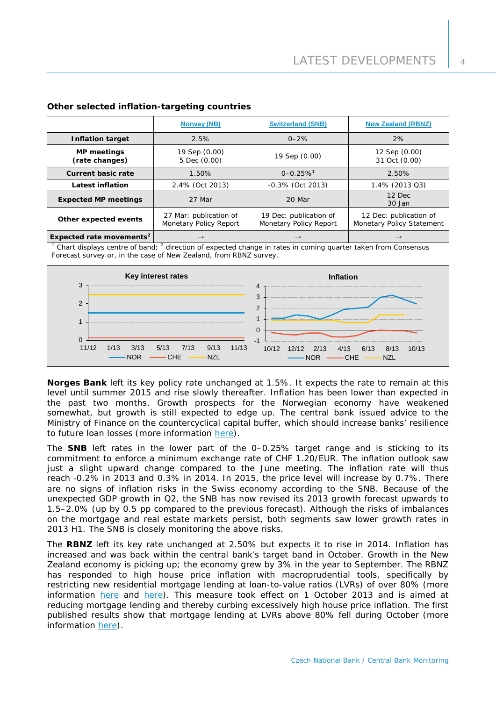|                                                                                                                                                                                               | <b>Norway (NB)</b>                                        | <b>Switzerland (SNB)</b>                                                                          | <b>New Zealand (RBNZ)</b>                           |  |
|-----------------------------------------------------------------------------------------------------------------------------------------------------------------------------------------------|-----------------------------------------------------------|---------------------------------------------------------------------------------------------------|-----------------------------------------------------|--|
| <b>Inflation target</b>                                                                                                                                                                       | 2.5%                                                      | $0 - 2%$                                                                                          | 2%                                                  |  |
| <b>MP meetings</b><br>(rate changes)                                                                                                                                                          | 19 Sep (0.00)<br>5 Dec (0.00)                             | 19 Sep (0.00)                                                                                     | 12 Sep (0.00)<br>31 Oct (0.00)                      |  |
| <b>Current basic rate</b>                                                                                                                                                                     | 1.50%                                                     | $0 - 0.25 \%$ <sup>1</sup>                                                                        | 2.50%                                               |  |
| <b>Latest inflation</b>                                                                                                                                                                       | 2.4% (Oct 2013)                                           | -0.3% (Oct 2013)                                                                                  | 1.4% (2013 Q3)                                      |  |
| <b>Expected MP meetings</b>                                                                                                                                                                   | 27 Mar                                                    | 20 Mar                                                                                            | 12 Dec<br>30 Jan                                    |  |
| Other expected events                                                                                                                                                                         | 27 Mar: publication of<br>Monetary Policy Report          | 19 Dec: publication of<br>Monetary Policy Report                                                  | 12 Dec: publication of<br>Monetary Policy Statement |  |
| Expected rate movements <sup>2</sup>                                                                                                                                                          | $\rightarrow$                                             | $\rightarrow$                                                                                     | $\rightarrow$                                       |  |
| Chart displays centre of band; <sup>2</sup> direction of expected change in rates in coming quarter taken from Consensus<br>Forecast survey or, in the case of New Zealand, from RBNZ survey. |                                                           |                                                                                                   |                                                     |  |
| Key interest rates                                                                                                                                                                            |                                                           | <b>Inflation</b>                                                                                  |                                                     |  |
| 3                                                                                                                                                                                             |                                                           | 4                                                                                                 |                                                     |  |
| $\overline{2}$                                                                                                                                                                                |                                                           | 3<br>$\overline{2}$                                                                               |                                                     |  |
|                                                                                                                                                                                               |                                                           | $\mathbf{1}$                                                                                      |                                                     |  |
| 1                                                                                                                                                                                             |                                                           | $\Omega$                                                                                          |                                                     |  |
| $\overline{0}$                                                                                                                                                                                |                                                           |                                                                                                   |                                                     |  |
| 11/12<br>1/13<br>3/13<br><b>NOR</b>                                                                                                                                                           | 7/13<br>5/13<br>9/13<br>11/13<br><b>CHE</b><br><b>NZL</b> | 10/12<br>8/13<br>12/12<br>6/13<br>10/13<br>2/13<br>4/13<br><b>NOR</b><br><b>CHE</b><br><b>NZL</b> |                                                     |  |

## **Other selected inflation-targeting countries**

**Norges Bank** left its key policy rate unchanged at 1.5%. It expects the rate to remain at this level until summer 2015 and rise slowly thereafter. Inflation has been lower than expected in the past two months. Growth prospects for the Norwegian economy have weakened somewhat, but growth is still expected to edge up. The central bank issued advice to the Ministry of Finance on the countercyclical capital buffer, which should increase banks' resilience to future loan losses (more information [here\)](http://www.norges-bank.no/en/about/published/press-releases/2013/press-release-5-december-2013_2/).

The **SNB** left rates in the lower part of the 0–0.25% target range and is sticking to its commitment to enforce a minimum exchange rate of CHF 1.20/EUR. The inflation outlook saw just a slight upward change compared to the June meeting. The inflation rate will thus reach -0.2% in 2013 and 0.3% in 2014. In 2015, the price level will increase by 0.7%. There are no signs of inflation risks in the Swiss economy according to the SNB. Because of the unexpected GDP growth in Q2, the SNB has now revised its 2013 growth forecast upwards to 1.5–2.0% (up by 0.5 pp compared to the previous forecast). Although the risks of imbalances on the mortgage and real estate markets persist, both segments saw lower growth rates in 2013 H1. The SNB is closely monitoring the above risks.

The **RBNZ** left its key rate unchanged at 2.50% but expects it to rise in 2014. Inflation has increased and was back within the central bank's target band in October. Growth in the New Zealand economy is picking up; the economy grew by 3% in the year to September. The RBNZ has responded to high house price inflation with macroprudential tools, specifically by restricting new residential mortgage lending at loan-to-value ratios (LVRs) of over 80% (more information [here](http://www.rbnz.govt.nz/news/2013/5396734.html) and [here\)](http://www.rbnz.govt.nz/news/2013/5406716.html). This measure took effect on 1 October 2013 and is aimed at reducing mortgage lending and thereby curbing excessively high house price inflation. The first published results show that mortgage lending at LVRs above 80% fell during October (more information [here\)](http://www.rbnz.govt.nz/news/2013/5546600.html).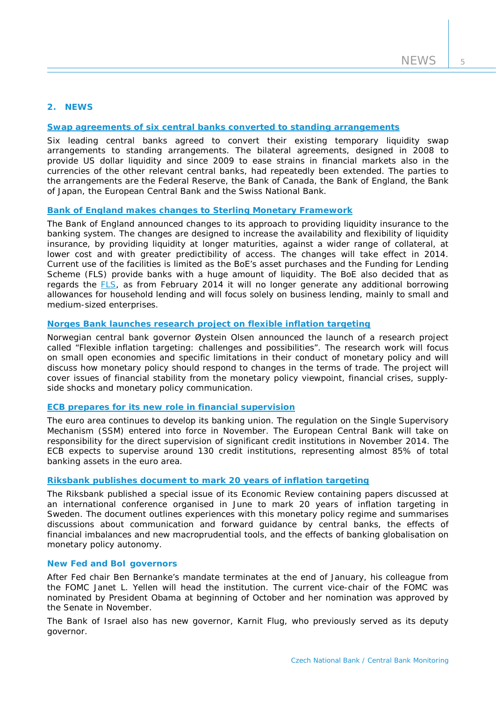## **2. NEWS**

#### **[Swap agreements of six central banks converted to standing arrangements](http://www.federalreserve.gov/newsevents/press/monetary/20131031a.htm)**

Six leading central banks agreed to convert their existing temporary liquidity swap arrangements to standing arrangements. The bilateral agreements, designed in 2008 to provide US dollar liquidity and since 2009 to ease strains in financial markets also in the currencies of the other relevant central banks, had repeatedly been extended. The parties to the arrangements are the Federal Reserve, the Bank of Canada, the Bank of England, the Bank of Japan, the European Central Bank and the Swiss National Bank.

#### **Bank of England makes changes to [Sterling Monetary Framework](http://www.bankofengland.co.uk/markets/Documents/money/publications/liquidityinsurance.pdf)**

The Bank of England announced changes to its approach to providing liquidity insurance to the banking system. The changes are designed to increase the availability and flexibility of liquidity insurance, by providing liquidity at longer maturities, against a wider range of collateral, at lower cost and with greater predictibility of access. The changes will take effect in 2014. Current use of the facilities is limited as the BoE's asset purchases and the Funding for Lending Scheme (FLS) provide banks with a huge amount of liquidity. The BoE also decided that as regards the [FLS,](http://www.bankofengland.co.uk/publications/Pages/news/2013/177.aspx) as from February 2014 it will no longer generate any additional borrowing allowances for household lending and will focus solely on business lending, mainly to small and medium-sized enterprises.

# **Norges Bank launches research project on [flexible inflation targeting](http://www.norges-bank.no/en/about/published/speeches/2013/7-oktober-2013-oystein-olsen/)**

Norwegian central bank governor Øystein Olsen announced the launch of a research project called "Flexible inflation targeting: challenges and possibilities". The research work will focus on small open economies and specific limitations in their conduct of monetary policy and will discuss how monetary policy should respond to changes in the terms of trade. The project will cover issues of financial stability from the monetary policy viewpoint, financial crises, supplyside shocks and monetary policy communication.

#### **[ECB prepares for its new role in financial supervision](http://www.ecb.europa.eu/ssm/html/index.en.html)**

The euro area continues to develop its banking union. The regulation on the Single Supervisory Mechanism (SSM) entered into force in November. The European Central Bank will take on responsibility for the direct supervision of significant credit institutions in November 2014. The ECB expects to supervise around 130 credit institutions, representing almost 85% of total banking assets in the euro area.

#### **Riksbank publishes [document to mark 20 years of inflation targeting](http://www.riksbank.se/en/Press-and-published/Notices/2013/Special-issue-of-the-Economic-Review-20-years-of-inflation-targeting/)**

The Riksbank published a special issue of its Economic Review containing papers discussed at an international conference organised in June to mark 20 years of inflation targeting in Sweden. The document outlines experiences with this monetary policy regime and summarises discussions about communication and forward guidance by central banks, the effects of financial imbalances and new macroprudential tools, and the effects of banking globalisation on monetary policy autonomy.

## **New Fed and BoI governors**

After Fed chair Ben Bernanke's mandate terminates at the end of January, his colleague from the FOMC Janet L. Yellen will head the institution. The current vice-chair of the FOMC was nominated by President Obama at beginning of October and her nomination was approved by the Senate in November.

The Bank of Israel also has new governor, Karnit Flug, who previously served as its deputy governor.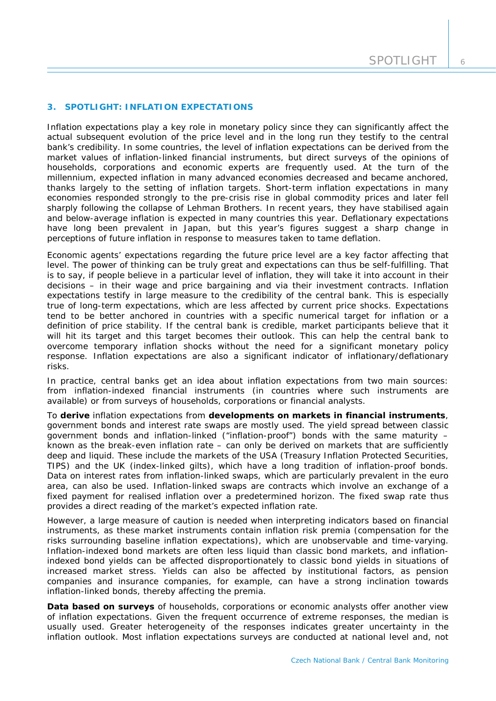# **3. SPOTLIGHT: INFLATION EXPECTATIONS**

*Inflation expectations play a key role in monetary policy since they can significantly affect the actual subsequent evolution of the price level and in the long run they testify to the central bank's credibility. In some countries, the level of inflation expectations can be derived from the market values of inflation-linked financial instruments, but direct surveys of the opinions of households, corporations and economic experts are frequently used. At the turn of the millennium, expected inflation in many advanced economies decreased and became anchored, thanks largely to the setting of inflation targets. Short-term inflation expectations in many economies responded strongly to the pre-crisis rise in global commodity prices and later fell sharply following the collapse of Lehman Brothers. In recent years, they have stabilised again and below-average inflation is expected in many countries this year. Deflationary expectations have long been prevalent in Japan, but this year's figures suggest a sharp change in perceptions of future inflation in response to measures taken to tame deflation.*

Economic agents' expectations regarding the future price level are a key factor affecting that level. The power of thinking can be truly great and expectations can thus be self-fulfilling. That is to say, if people believe in a particular level of inflation, they will take it into account in their decisions – in their wage and price bargaining and via their investment contracts. Inflation expectations testify in large measure to the credibility of the central bank. This is especially true of long-term expectations, which are less affected by current price shocks. Expectations tend to be better anchored in countries with a specific numerical target for inflation or a definition of price stability. If the central bank is credible, market participants believe that it will hit its target and this target becomes their outlook. This can help the central bank to overcome temporary inflation shocks without the need for a significant monetary policy response. Inflation expectations are also a significant indicator of inflationary/deflationary risks.

In practice, central banks get an idea about inflation expectations from two main sources: from inflation-indexed financial instruments (in countries where such instruments are available) or from surveys of households, corporations or financial analysts.

To **derive** inflation expectations from **developments on markets in financial instruments**, government bonds and interest rate swaps are mostly used. The yield spread between classic government bonds and inflation-linked ("inflation-proof") bonds with the same maturity – known as the break-even inflation rate – can only be derived on markets that are sufficiently deep and liquid. These include the markets of the USA (Treasury Inflation Protected Securities, TIPS) and the UK (index-linked gilts), which have a long tradition of inflation-proof bonds. Data on interest rates from inflation-linked swaps, which are particularly prevalent in the euro area, can also be used. Inflation-linked swaps are contracts which involve an exchange of a fixed payment for realised inflation over a predetermined horizon. The fixed swap rate thus provides a direct reading of the market's expected inflation rate.

However, a large measure of caution is needed when interpreting indicators based on financial instruments, as these market instruments contain inflation risk premia (compensation for the risks surrounding baseline inflation expectations), which are unobservable and time-varying. Inflation-indexed bond markets are often less liquid than classic bond markets, and inflationindexed bond yields can be affected disproportionately to classic bond yields in situations of increased market stress. Yields can also be affected by institutional factors, as pension companies and insurance companies, for example, can have a strong inclination towards inflation-linked bonds, thereby affecting the premia.

**Data based on surveys** of households, corporations or economic analysts offer another view of inflation expectations. Given the frequent occurrence of extreme responses, the median is usually used. Greater heterogeneity of the responses indicates greater uncertainty in the inflation outlook. Most inflation expectations surveys are conducted at national level and, not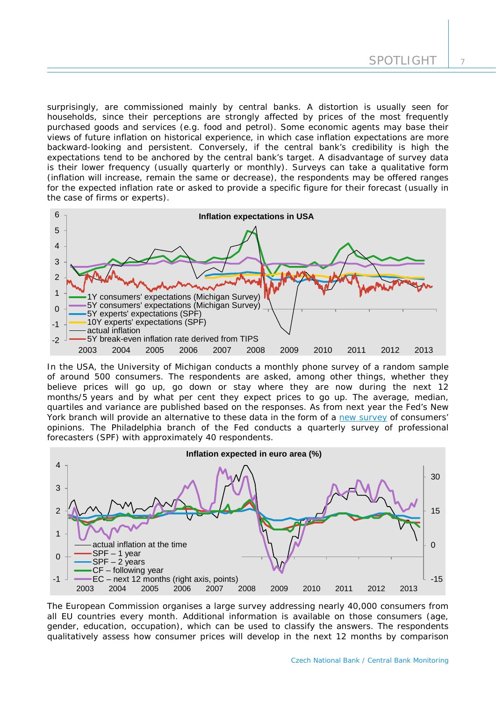surprisingly, are commissioned mainly by central banks. A distortion is usually seen for households, since their perceptions are strongly affected by prices of the most frequently purchased goods and services (e.g. food and petrol). Some economic agents may base their views of future inflation on historical experience, in which case inflation expectations are more backward-looking and persistent. Conversely, if the central bank's credibility is high the expectations tend to be anchored by the central bank's target. A disadvantage of survey data is their lower frequency (usually quarterly or monthly). Surveys can take a qualitative form (inflation will increase, remain the same or decrease), the respondents may be offered ranges for the expected inflation rate or asked to provide a specific figure for their forecast (usually in the case of firms or experts).



In the USA, the University of Michigan conducts a monthly phone survey of a random sample of around 500 consumers. The respondents are asked, among other things, whether they believe prices will go up, go down or stay where they are now during the next 12 months/5 years and by what per cent they expect prices to go up. The average, median, quartiles and variance are published based on the responses. As from next year the Fed's New York branch will provide an alternative to these data in the form of a [new survey](http://www.newyorkfed.org/newsevents/mediaadvisory/2013/1203_2013.html) of consumers' opinions. The Philadelphia branch of the Fed conducts a quarterly survey of professional forecasters (SPF) with approximately 40 respondents.



The European Commission organises a large survey addressing nearly 40,000 consumers from all EU countries every month. Additional information is available on those consumers (age, gender, education, occupation), which can be used to classify the answers. The respondents qualitatively assess how consumer prices will develop in the next 12 months by comparison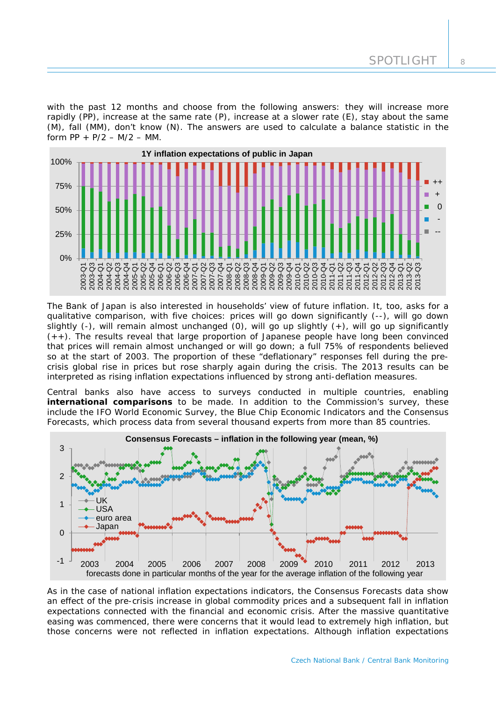with the past 12 months and choose from the following answers: they will increase more rapidly (PP), increase at the same rate (P), increase at a slower rate (E), stay about the same (M), fall (MM), don't know (N). The answers are used to calculate a balance statistic in the form  $PP + P/2 - M/2 - MM$ .



The Bank of Japan is also interested in households' view of future inflation. It, too, asks for a qualitative comparison, with five choices: prices will go down significantly (--), will go down slightly  $(-)$ , will remain almost unchanged  $(0)$ , will go up slightly  $(+)$ , will go up significantly  $(++)$ . The results reveal that large proportion of Japanese people have long been convinced that prices will remain almost unchanged or will go down; a full 75% of respondents believed so at the start of 2003. The proportion of these "deflationary" responses fell during the precrisis global rise in prices but rose sharply again during the crisis. The 2013 results can be interpreted as rising inflation expectations influenced by strong anti-deflation measures.

Central banks also have access to surveys conducted in multiple countries, enabling **international comparisons** to be made. In addition to the Commission's survey, these include the IFO World Economic Survey, the Blue Chip Economic Indicators and the Consensus Forecasts, which process data from several thousand experts from more than 85 countries.



As in the case of national inflation expectations indicators, the Consensus Forecasts data show an effect of the pre-crisis increase in global commodity prices and a subsequent fall in inflation expectations connected with the financial and economic crisis. After the massive quantitative easing was commenced, there were concerns that it would lead to extremely high inflation, but those concerns were not reflected in inflation expectations. Although inflation expectations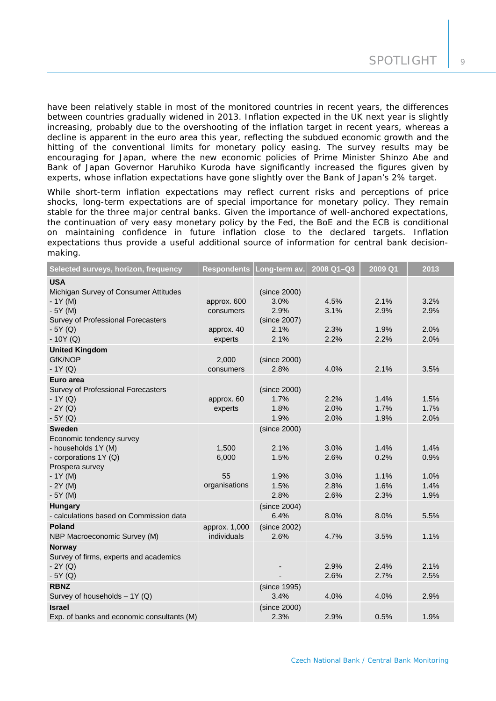have been relatively stable in most of the monitored countries in recent years, the differences between countries gradually widened in 2013. Inflation expected in the UK next year is slightly increasing, probably due to the overshooting of the inflation target in recent years, whereas a decline is apparent in the euro area this year, reflecting the subdued economic growth and the hitting of the conventional limits for monetary policy easing. The survey results may be encouraging for Japan, where the new economic policies of Prime Minister Shinzo Abe and Bank of Japan Governor Haruhiko Kuroda have significantly increased the figures given by experts, whose inflation expectations have gone slightly over the Bank of Japan's 2% target.

While short-term inflation expectations may reflect current risks and perceptions of price shocks, long-term expectations are of special importance for monetary policy. They remain stable for the three major central banks. Given the importance of well-anchored expectations, the continuation of very easy monetary policy by the Fed, the BoE and the ECB is conditional on maintaining confidence in future inflation close to the declared targets. Inflation expectations thus provide a useful additional source of information for central bank decisionmaking.

| Selected surveys, horizon, frequency                                                                                                             |                                                   | Respondents Long-term av.                                    | 2008 Q1-Q3                           | 2009 Q1                              | 2013                                 |
|--------------------------------------------------------------------------------------------------------------------------------------------------|---------------------------------------------------|--------------------------------------------------------------|--------------------------------------|--------------------------------------|--------------------------------------|
| <b>USA</b><br>Michigan Survey of Consumer Attitudes<br>$-1Y(M)$<br>$-5Y(M)$<br>Survey of Professional Forecasters<br>$-5Y(Q)$<br>$-10Y(Q)$       | approx. 600<br>consumers<br>approx. 40<br>experts | (since 2000)<br>3.0%<br>2.9%<br>(since 2007)<br>2.1%<br>2.1% | 4.5%<br>3.1%<br>2.3%<br>2.2%         | 2.1%<br>2.9%<br>1.9%<br>2.2%         | 3.2%<br>2.9%<br>2.0%<br>2.0%         |
| <b>United Kingdom</b><br>GfK/NOP<br>$-1Y(Q)$                                                                                                     | 2,000<br>consumers                                | (since 2000)<br>2.8%                                         | 4.0%                                 | 2.1%                                 | 3.5%                                 |
| Euro area<br>Survey of Professional Forecasters<br>$-1Y(Q)$<br>$-2Y(Q)$<br>$-5Y(Q)$                                                              | approx. 60<br>experts                             | (since 2000)<br>1.7%<br>1.8%<br>1.9%                         | 2.2%<br>2.0%<br>2.0%                 | 1.4%<br>1.7%<br>1.9%                 | 1.5%<br>1.7%<br>2.0%                 |
| <b>Sweden</b><br>Economic tendency survey<br>- households 1Y (M)<br>- corporations 1Y (Q)<br>Prospera survey<br>$-1Y(M)$<br>$-2Y(M)$<br>$-5Y(M)$ | 1,500<br>6,000<br>55<br>organisations             | (since 2000)<br>2.1%<br>1.5%<br>1.9%<br>1.5%<br>2.8%         | 3.0%<br>2.6%<br>3.0%<br>2.8%<br>2.6% | 1.4%<br>0.2%<br>1.1%<br>1.6%<br>2.3% | 1.4%<br>0.9%<br>1.0%<br>1.4%<br>1.9% |
| <b>Hungary</b><br>- calculations based on Commission data                                                                                        |                                                   | (since 2004)<br>6.4%                                         | 8.0%                                 | 8.0%                                 | 5.5%                                 |
| Poland<br>NBP Macroeconomic Survey (M)                                                                                                           | approx. 1,000<br>individuals                      | (since 2002)<br>2.6%                                         | 4.7%                                 | 3.5%                                 | 1.1%                                 |
| <b>Norway</b><br>Survey of firms, experts and academics<br>$-2Y(Q)$<br>$-5Y(Q)$                                                                  |                                                   |                                                              | 2.9%<br>2.6%                         | 2.4%<br>2.7%                         | 2.1%<br>2.5%                         |
| <b>RBNZ</b><br>Survey of households - 1Y (Q)                                                                                                     |                                                   | (since 1995)<br>3.4%                                         | 4.0%                                 | 4.0%                                 | 2.9%                                 |
| <b>Israel</b><br>Exp. of banks and economic consultants (M)                                                                                      |                                                   | (since 2000)<br>2.3%                                         | 2.9%                                 | 0.5%                                 | 1.9%                                 |